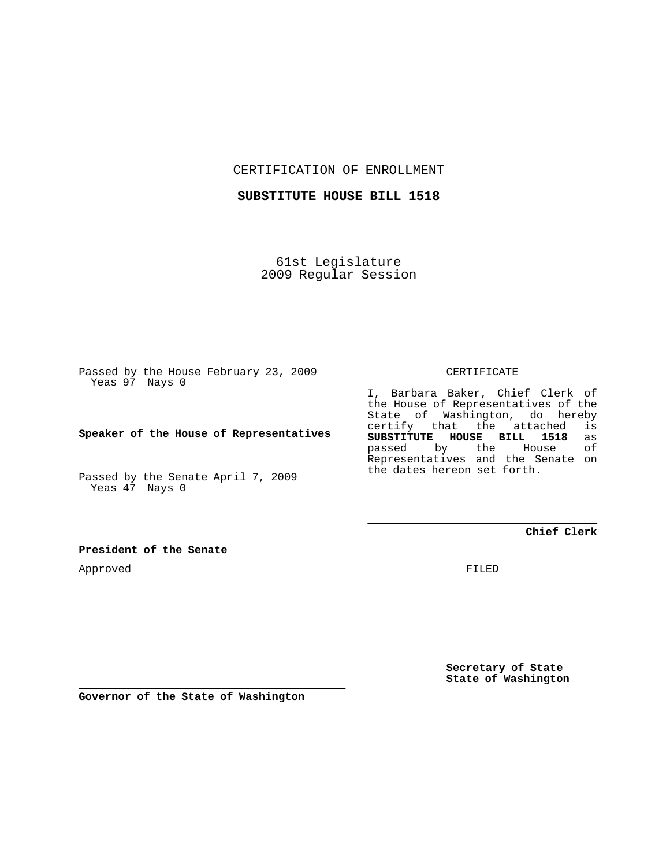CERTIFICATION OF ENROLLMENT

**SUBSTITUTE HOUSE BILL 1518**

61st Legislature 2009 Regular Session

Passed by the House February 23, 2009 Yeas 97 Nays 0

**Speaker of the House of Representatives**

Passed by the Senate April 7, 2009 Yeas 47 Nays 0

**President of the Senate**

Approved

CERTIFICATE

I, Barbara Baker, Chief Clerk of the House of Representatives of the State of Washington, do hereby certify that the attached is<br>SUBSTITUTE HOUSE BILL 1518 as **SUBSTITUTE HOUSE BILL 1518** as passed by the Representatives and the Senate on the dates hereon set forth.

**Chief Clerk**

FILED

**Secretary of State State of Washington**

**Governor of the State of Washington**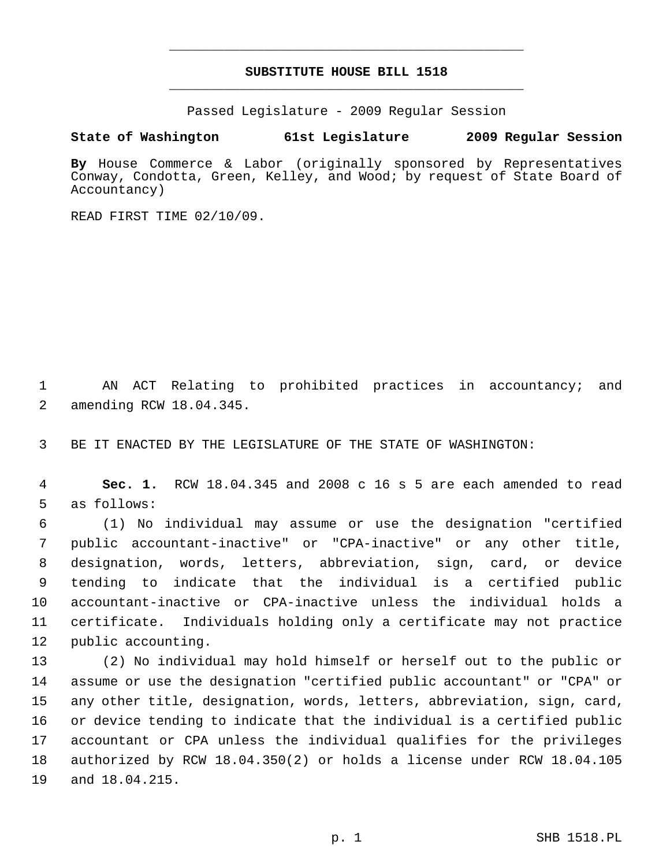## **SUBSTITUTE HOUSE BILL 1518** \_\_\_\_\_\_\_\_\_\_\_\_\_\_\_\_\_\_\_\_\_\_\_\_\_\_\_\_\_\_\_\_\_\_\_\_\_\_\_\_\_\_\_\_\_

\_\_\_\_\_\_\_\_\_\_\_\_\_\_\_\_\_\_\_\_\_\_\_\_\_\_\_\_\_\_\_\_\_\_\_\_\_\_\_\_\_\_\_\_\_

Passed Legislature - 2009 Regular Session

## **State of Washington 61st Legislature 2009 Regular Session**

**By** House Commerce & Labor (originally sponsored by Representatives Conway, Condotta, Green, Kelley, and Wood; by request of State Board of Accountancy)

READ FIRST TIME 02/10/09.

 1 AN ACT Relating to prohibited practices in accountancy; and 2 amending RCW 18.04.345.

3 BE IT ENACTED BY THE LEGISLATURE OF THE STATE OF WASHINGTON:

 4 **Sec. 1.** RCW 18.04.345 and 2008 c 16 s 5 are each amended to read 5 as follows:

 6 (1) No individual may assume or use the designation "certified 7 public accountant-inactive" or "CPA-inactive" or any other title, 8 designation, words, letters, abbreviation, sign, card, or device 9 tending to indicate that the individual is a certified public 10 accountant-inactive or CPA-inactive unless the individual holds a 11 certificate. Individuals holding only a certificate may not practice 12 public accounting.

13 (2) No individual may hold himself or herself out to the public or 14 assume or use the designation "certified public accountant" or "CPA" or 15 any other title, designation, words, letters, abbreviation, sign, card, 16 or device tending to indicate that the individual is a certified public 17 accountant or CPA unless the individual qualifies for the privileges 18 authorized by RCW 18.04.350(2) or holds a license under RCW 18.04.105 19 and 18.04.215.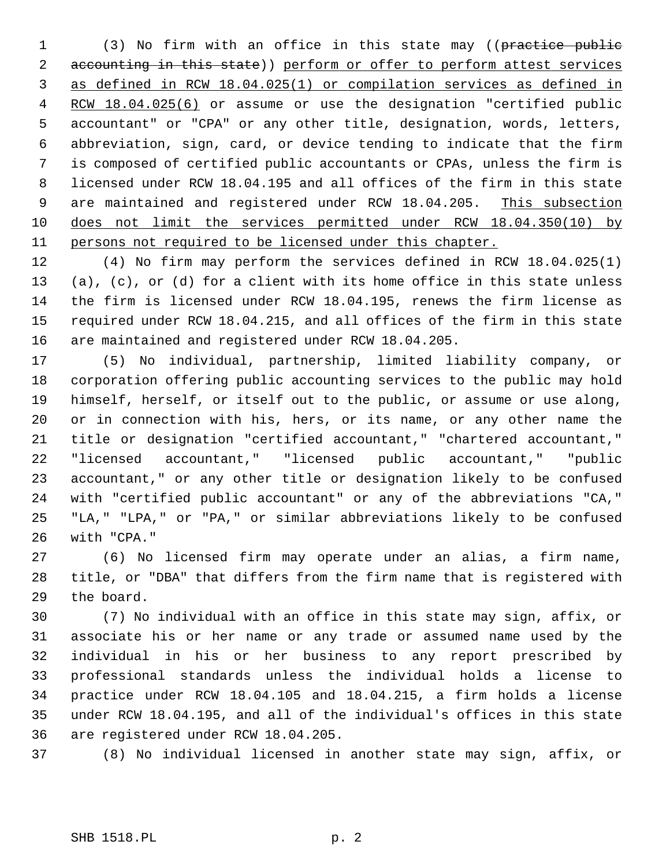1 (3) No firm with an office in this state may ((practice public 2 accounting in this state)) perform or offer to perform attest services 3 as defined in RCW 18.04.025(1) or compilation services as defined in 4 RCW 18.04.025(6) or assume or use the designation "certified public 5 accountant" or "CPA" or any other title, designation, words, letters, 6 abbreviation, sign, card, or device tending to indicate that the firm 7 is composed of certified public accountants or CPAs, unless the firm is 8 licensed under RCW 18.04.195 and all offices of the firm in this state 9 are maintained and registered under RCW 18.04.205. This subsection 10 does not limit the services permitted under RCW 18.04.350(10) by 11 persons not required to be licensed under this chapter.

12 (4) No firm may perform the services defined in RCW 18.04.025(1) 13 (a), (c), or (d) for a client with its home office in this state unless 14 the firm is licensed under RCW 18.04.195, renews the firm license as 15 required under RCW 18.04.215, and all offices of the firm in this state 16 are maintained and registered under RCW 18.04.205.

17 (5) No individual, partnership, limited liability company, or 18 corporation offering public accounting services to the public may hold 19 himself, herself, or itself out to the public, or assume or use along, 20 or in connection with his, hers, or its name, or any other name the 21 title or designation "certified accountant," "chartered accountant," 22 "licensed accountant," "licensed public accountant," "public 23 accountant," or any other title or designation likely to be confused 24 with "certified public accountant" or any of the abbreviations "CA," 25 "LA," "LPA," or "PA," or similar abbreviations likely to be confused 26 with "CPA."

27 (6) No licensed firm may operate under an alias, a firm name, 28 title, or "DBA" that differs from the firm name that is registered with 29 the board.

30 (7) No individual with an office in this state may sign, affix, or 31 associate his or her name or any trade or assumed name used by the 32 individual in his or her business to any report prescribed by 33 professional standards unless the individual holds a license to 34 practice under RCW 18.04.105 and 18.04.215, a firm holds a license 35 under RCW 18.04.195, and all of the individual's offices in this state 36 are registered under RCW 18.04.205.

37 (8) No individual licensed in another state may sign, affix, or